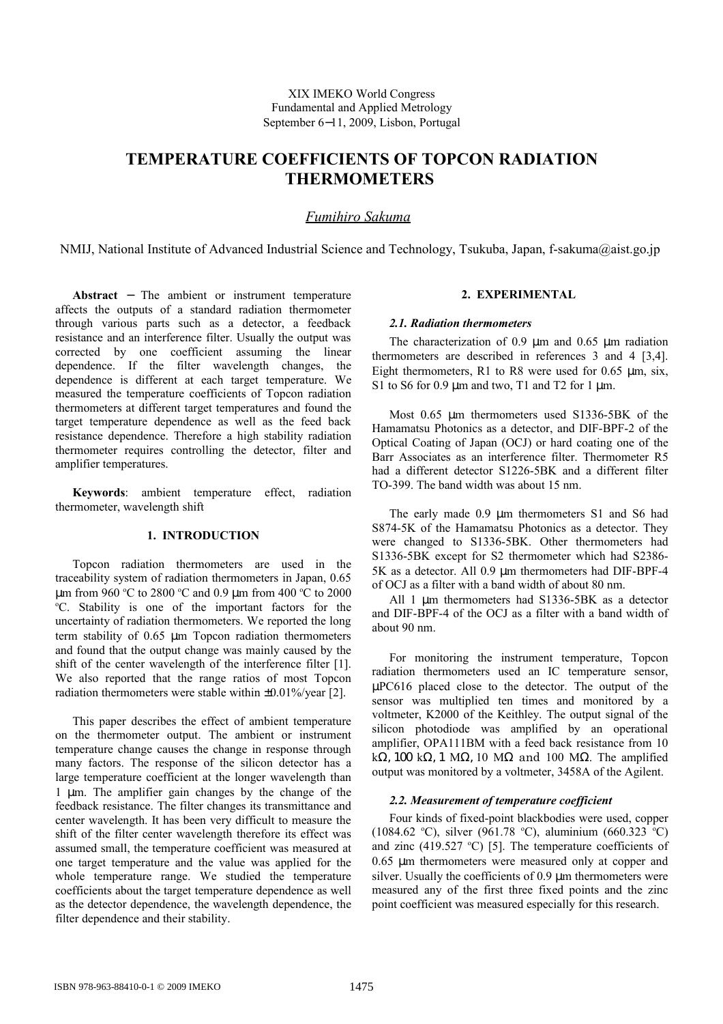# **TEMPERATURE COEFFICIENTS OF TOPCON RADIATION THERMOMETERS**

## *F umihiro Sakuma*

NMIJ, National Institute of Advanced Industrial Science and Technology, Tsukuba, Japan, f-sakuma@aist.go.jp

**Abstract** − The ambient or instrument temperature affects the outputs of a standard radiation thermometer through various parts such as a detector, a feedback resistance and an interference filter. Usually the output was corrected by one coefficient assuming the linear dependence. If the filter wavelength changes, the dependence is different at each target temperature. We measured the temperature coefficients of Topcon radiation thermometers at different target temperatures and found the target temperature dependence as well as the feed back resistance dependence. Therefore a high stability radiation thermometer requires controlling the detector, filter and amplifier temperatures.

**Keywords**: ambient temperature effect, radiation thermometer, wavelength shift

## **1. INTRODUCTION**

Topcon radiation thermometers are used in the traceability system of radiation thermometers in Japan, 0.65 µm from 960 °C to 2800 °C and 0.9 µm from 400 °C to 2000 <sup>o</sup>C. Stability is one of the important factors for the uncertainty of radiation thermometers. We reported the long term stability of 0.65 µm Topcon radiation thermometers and found that the output change was mainly caused by the shift of the center wavelength of the interference filter [1]. We also reported that the range ratios of most Topcon radiation thermometers were stable within ±0.01%/year [2].

This paper describes the effect of ambient temperature on the thermometer output. The ambient or instrument temperature change causes the change in response through many factors. The response of the silicon detector has a large temperature coefficient at the longer wavelength than 1 µm. The amplifier gain changes by the change of the feedback resistance. The filter changes its transmittance and center wavelength. It has been very difficult to measure the shift of the filter center wavelength therefore its effect was assumed small, the temperature coefficient was measured at one target temperature and the value was applied for the whole temperature range. We studied the temperature coefficients about the target temperature dependence as well as the detector dependence, the wavelength dependence, the filter dependence and their stability.

## **2. EXPERIMENTAL**

#### *2.1. Radiation thermometers*

The characterization of 0.9 um and 0.65 um radiation thermometers are described in references 3 and 4 [3,4]. Eight thermometers, R1 to R8 were used for  $0.65 \mu m$ , six, S1 to S6 for  $0.9 \text{ µm}$  and two, T1 and T2 for 1  $\text{µm}$ .

Most 0.65  $\mu$ m thermometers used S1336-5BK of the Hamamatsu Photonics as a detector, and DIF-BPF-2 of the Optical Coating of Japan (OCJ) or hard coating one of the Barr Associates as an interference filter. Thermometer R5 had a different detector S1226-5BK and a different filter TO-399. The band width was about 15 nm.

The early made 0.9  $\mu$ m thermometers S1 and S6 had S874-5K of the Hamamatsu Photonics as a detector. They were changed to S1336-5BK. Other thermometers had S1336-5BK except for S2 thermometer which had S2386- 5K as a detector. All 0.9 um thermometers had DIF-BPF-4 of OCJ as a filter with a band width of about 80 nm.

All 1 um thermometers had S1336-5BK as a detector and DIF-BPF-4 of the OCJ as a filter with a band width of about 90 nm.

For monitoring the instrument temperature, Topcon radiation thermometers used an IC temperature sensor, µPC616 placed close to the detector. The output of the sensor was multiplied ten times and monitored by a voltmeter, K2000 of the Keithley. The output signal of the silicon photodiode was amplified by an operational amplifier, OPA111BM with a feed back resistance from 10 kΩ, 100 kΩ, 1 MΩ, 10 MΩ and 100 MΩ. The amplified output was monitored by a voltmeter, 3458A of the Agilent.

## *2.2. Measurement of temperature coefficient*

Four kinds of fixed-point blackbodies were used, copper (1084.62 °C), silver (961.78 °C), aluminium (660.323 °C) and zinc  $(419.527 \text{ °C})$  [5]. The temperature coefficients of 0.65 µm thermometers were measured only at copper and silver. Usually the coefficients of 0.9  $\mu$ m thermometers were measured any of the first three fixed points and the zinc point coefficient was measured especially for this research.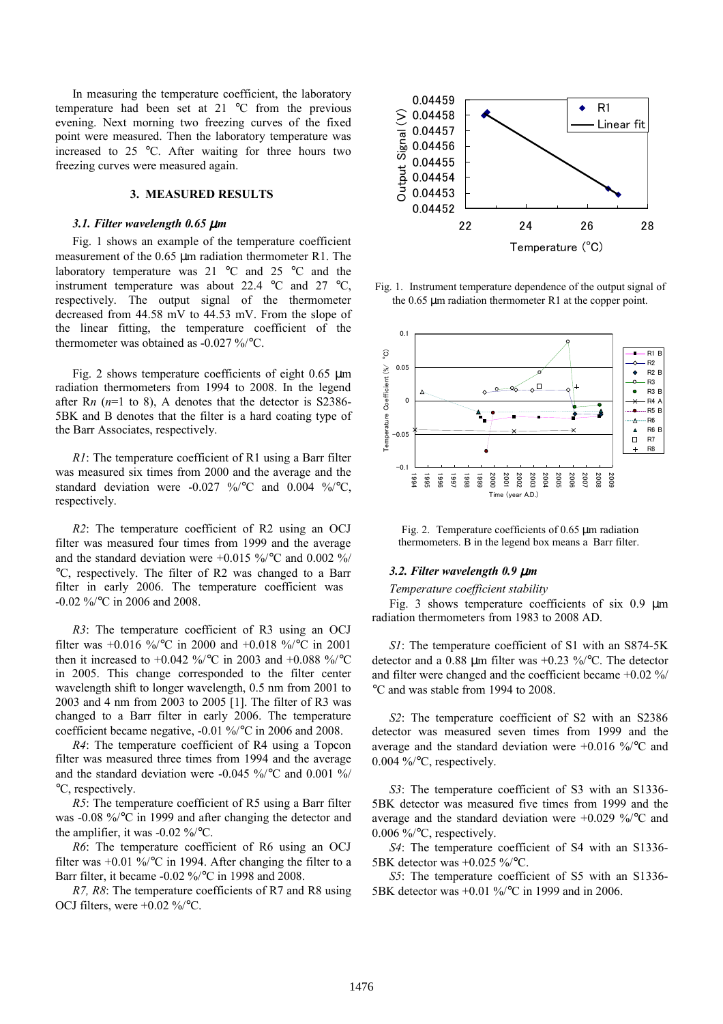In measuring the temperature coefficient, the laboratory temperature had been set at 21 °C from the previous evening. Next morning two freezing curves of the fixed point were measured. Then the laboratory temperature was increased to 25 °C. After waiting for three hours two freezing curves were measured again.

## **3. MEASURED RESULTS**

#### *3.1. Filter wavelength 0.65* µ*m*

Fig. 1 shows an example of the temperature coefficient measurement of the 0.65 µm radiation thermometer R1. The laboratory temperature was 21 °C and 25 °C and the instrument temperature was about 22.4 °C and 27 °C, respectively. The output signal of the thermometer decreased from 44.58 mV to 44.53 mV. From the slope of the linear fitting, the temperature coefficient of the thermometer was obtained as -0.027 %/°C.

Fig. 2 shows temperature coefficients of eight  $0.65 \mu m$ radiation thermometers from 1994 to 2008. In the legend after R*n* (*n*=1 to 8), A denotes that the detector is S2386- 5BK and B denotes that the filter is a hard coating type of the Barr Associates, respectively.

*R1*: The temperature coefficient of R1 using a Barr filter was measured six times from 2000 and the average and the standard deviation were  $-0.027$  %/°C and 0.004 %/°C, respectively.

*R2*: The temperature coefficient of R2 using an OCJ filter was measured four times from 1999 and the average and the standard deviation were +0.015 %/°C and 0.002 %/ °C, respectively. The filter of R2 was changed to a Barr filter in early 2006. The temperature coefficient was -0.02 %/°C in 2006 and 2008.

*R3*: The temperature coefficient of R3 using an OCJ filter was +0.016 %/°C in 2000 and +0.018 %/°C in 2001 then it increased to +0.042 %/ $^{\circ}$ C in 2003 and +0.088 %/ $^{\circ}$ C in 2005. This change corresponded to the filter center wavelength shift to longer wavelength, 0.5 nm from 2001 to 2003 and 4 nm from 2003 to 2005 [1]. The filter of R3 was changed to a Barr filter in early 2006. The temperature coefficient became negative, -0.01 %/°C in 2006 and 2008.

*R4*: The temperature coefficient of R4 using a Topcon filter was measured three times from 1994 and the average and the standard deviation were -0.045 %/°C and 0.001 %/ °C, respectively.

*R5*: The temperature coefficient of R5 using a Barr filter was -0.08 %/°C in 1999 and after changing the detector and the amplifier, it was  $-0.02\%$  /°C.

*R6*: The temperature coefficient of R6 using an OCJ filter was  $+0.01\%$  °C in 1994. After changing the filter to a Barr filter, it became -0.02 %/°C in 1998 and 2008.

*R7, R8*: The temperature coefficients of R7 and R8 using OCJ filters, were +0.02 %/°C.



Fig. 1. Instrument temperature dependence of the output signal of the 0.65 µm radiation thermometer R1 at the copper point.



Fig. 2. Temperature coefficients of 0.65 µm radiation thermometers. B in the legend box means a Barr filter.

## *3.2. Filter wavelength 0.9* µ*m*

#### *Temperature coefficient stability*

Fig. 3 shows temperature coefficients of six  $0.9 \mu m$ radiation thermometers from 1983 to 2008 AD.

*S1*: The temperature coefficient of S1 with an S874-5K detector and a 0.88 µm filter was +0.23 %/°C. The detector and filter were changed and the coefficient became +0.02 %/ °C and was stable from 1994 to 2008.

*S2*: The temperature coefficient of S2 with an S2386 detector was measured seven times from 1999 and the average and the standard deviation were +0.016 %/°C and 0.004 %/°C, respectively.

*S3*: The temperature coefficient of S3 with an S1336- 5BK detector was measured five times from 1999 and the average and the standard deviation were +0.029 %/°C and 0.006 %/°C, respectively.

*S4*: The temperature coefficient of S4 with an S1336- 5BK detector was +0.025 %/°C.

*S5*: The temperature coefficient of S5 with an S1336- 5BK detector was +0.01 %/°C in 1999 and in 2006.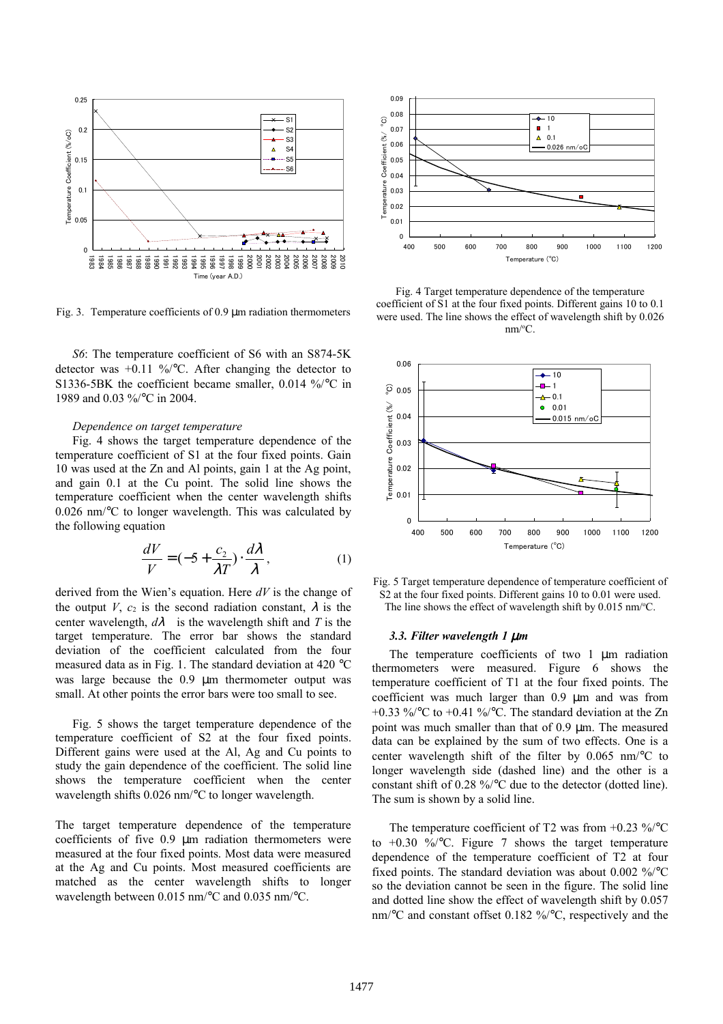

Fig. 3. Temperature coefficients of 0.9 µm radiation thermometers

*S6*: The temperature coefficient of S6 with an S874-5K detector was  $+0.11 \frac{\frac{9}{6}}{^{\circ}}C$ . After changing the detector to S1336-5BK the coefficient became smaller, 0.014 %/°C in 1989 and 0.03 %/°C in 2004.

## *Dependence on target temperature*

Fig. 4 shows the target temperature dependence of the temperature coefficient of S1 at the four fixed points. Gain 10 was used at the Zn and Al points, gain 1 at the Ag point, and gain 0.1 at the Cu point. The solid line shows the temperature coefficient when the center wavelength shifts 0.026 nm/°C to longer wavelength. This was calculated by the following equation

$$
\frac{dV}{V} = (-5 + \frac{c_2}{\lambda T}) \cdot \frac{d\lambda}{\lambda},\tag{1}
$$

derived from the Wien's equation. Here *dV* is the change of the output *V*,  $c_2$  is the second radiation constant,  $\lambda$  is the center wavelength,  $d\lambda$  is the wavelength shift and *T* is the target temperature. The error bar shows the standard deviation of the coefficient calculated from the four measured data as in Fig. 1. The standard deviation at 420 °C was large because the 0.9 µm thermometer output was small. At other points the error bars were too small to see.

Fig. 5 shows the target temperature dependence of the temperature coefficient of S2 at the four fixed points. Different gains were used at the Al, Ag and Cu points to study the gain dependence of the coefficient. The solid line shows the temperature coefficient when the center wavelength shifts 0.026 nm/°C to longer wavelength.

The target temperature dependence of the temperature coefficients of five 0.9 µm radiation thermometers were measured at the four fixed points. Most data were measured at the Ag and Cu points. Most measured coefficients are matched as the center wavelength shifts to longer wavelength between 0.015 nm/°C and 0.035 nm/°C.



Fig. 4 Target temperature dependence of the temperature coefficient of S1 at the four fixed points. Different gains 10 to 0.1 were used. The line shows the effect of wavelength shift by 0.026  $nm/°C$ .



Fig. 5 Target temperature dependence of temperature coefficient of S2 at the four fixed points. Different gains 10 to 0.01 were used. The line shows the effect of wavelength shift by  $0.015$  nm/ $°C$ .

#### *3.3. Filter wavelength 1* µ*m*

The temperature coefficients of two 1  $\mu$ m radiation thermometers were measured. Figure 6 shows the temperature coefficient of T1 at the four fixed points. The coefficient was much larger than 0.9 µm and was from +0.33 %/ $\degree$ C to +0.41 %/ $\degree$ C. The standard deviation at the Zn point was much smaller than that of 0.9 µm. The measured data can be explained by the sum of two effects. One is a center wavelength shift of the filter by 0.065 nm/°C to longer wavelength side (dashed line) and the other is a constant shift of 0.28 %/°C due to the detector (dotted line). The sum is shown by a solid line.

The temperature coefficient of T2 was from  $+0.23 \frac{\%}{\degree}C$ to  $+0.30 \frac{\%}{\degree}C$ . Figure 7 shows the target temperature dependence of the temperature coefficient of T2 at four fixed points. The standard deviation was about 0.002 %/°C so the deviation cannot be seen in the figure. The solid line and dotted line show the effect of wavelength shift by 0.057 nm/°C and constant offset 0.182 %/°C, respectively and the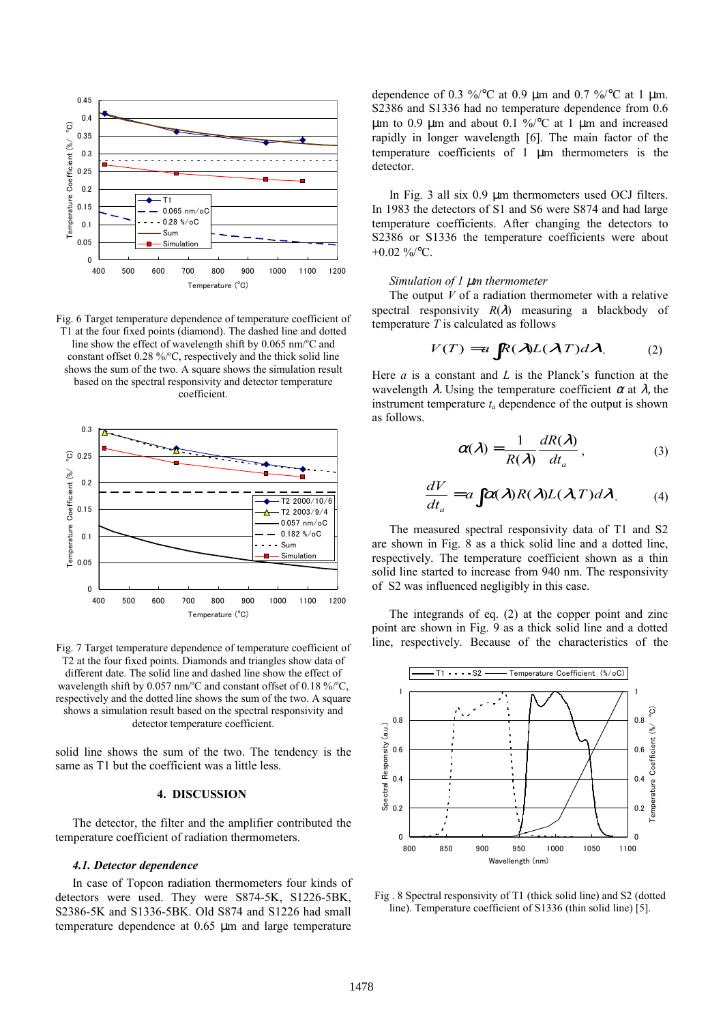

Fig. 6 Target temperature dependence of temperature coefficient of T1 at the four fixed points (diamond). The dashed line and dotted line show the effect of wavelength shift by  $0.065$  nm/ $\degree$ C and constant offset  $0.28 \frac{\%}{\degree}C$ , respectively and the thick solid line shows the sum of the two. A square shows the simulation result based on the spectral responsivity and detector temperature coefficient.



Fig. 7 Target temperature dependence of temperature coefficient of T2 at the four fixed points. Diamonds and triangles show data of different date. The solid line and dashed line show the effect of wavelength shift by 0.057 nm/°C and constant offset of 0.18 %/°C, respectively and the dotted line shows the sum of the two. A square shows a simulation result based on the spectral responsivity and detector temperature coefficient.

solid line shows the sum of the two. The tendency is the same as T1 but the coefficient was a little less.

#### **4. DISCUSSION**

The detector, the filter and the amplifier contributed the temperature coefficient of radiation thermometers.

#### *4.1. Detector dependence*

In case of Topcon radiation thermometers four kinds of detectors were used. They were S874-5K, S1226-5BK, S2386-5K and S1336-5BK. Old S874 and S1226 had small temperature dependence at 0.65 µm and large temperature dependence of 0.3 %/ $\degree$ C at 0.9 µm and 0.7 %/ $\degree$ C at 1 µm. S2386 and S1336 had no temperature dependence from 0.6  $\mu$ m to 0.9  $\mu$ m and about 0.1 %/°C at 1  $\mu$ m and increased rapidly in longer wavelength [6]. The main factor of the temperature coefficients of 1 µm thermometers is the detector.

In Fig. 3 all six 0.9 µm thermometers used OCJ filters. In 1983 the detectors of S1 and S6 were S874 and had large temperature coefficients. After changing the detectors to S2386 or S1336 the temperature coefficients were about  $+0.02\%$ /°C.

#### *Simulation of 1* µ*m thermometer*

The output *V* of a radiation thermometer with a relative spectral responsivity  $R(\lambda)$  measuring a blackbody of temperature *T* is calculated as follows

$$
V(T) = a \int R(\lambda)L(\lambda,T)d\lambda.
$$
 (2)

Here *a* is a constant and *L* is the Planck's function at the wavelength  $\lambda$ . Using the temperature coefficient  $\alpha$  at  $\lambda$ , the instrument temperature  $t_a$  dependence of the output is shown as follows.

$$
\alpha(\lambda) = \frac{1}{R(\lambda)} \frac{dR(\lambda)}{dt_a},\tag{3}
$$

$$
\frac{dV}{dt_a} = a \int \alpha(\lambda) R(\lambda) L(\lambda, T) d\lambda \tag{4}
$$

The measured spectral responsivity data of T1 and S2 are shown in Fig. 8 as a thick solid line and a dotted line, respectively. The temperature coefficient shown as a thin solid line started to increase from 940 nm. The responsivity of S2 was influenced negligibly in this case.

The integrands of eq. (2) at the copper point and zinc point are shown in Fig. 9 as a thick solid line and a dotted line, respectively. Because of the characteristics of the



Fig . 8 Spectral responsivity of T1 (thick solid line) and S2 (dotted line). Temperature coefficient of S1336 (thin solid line) [5].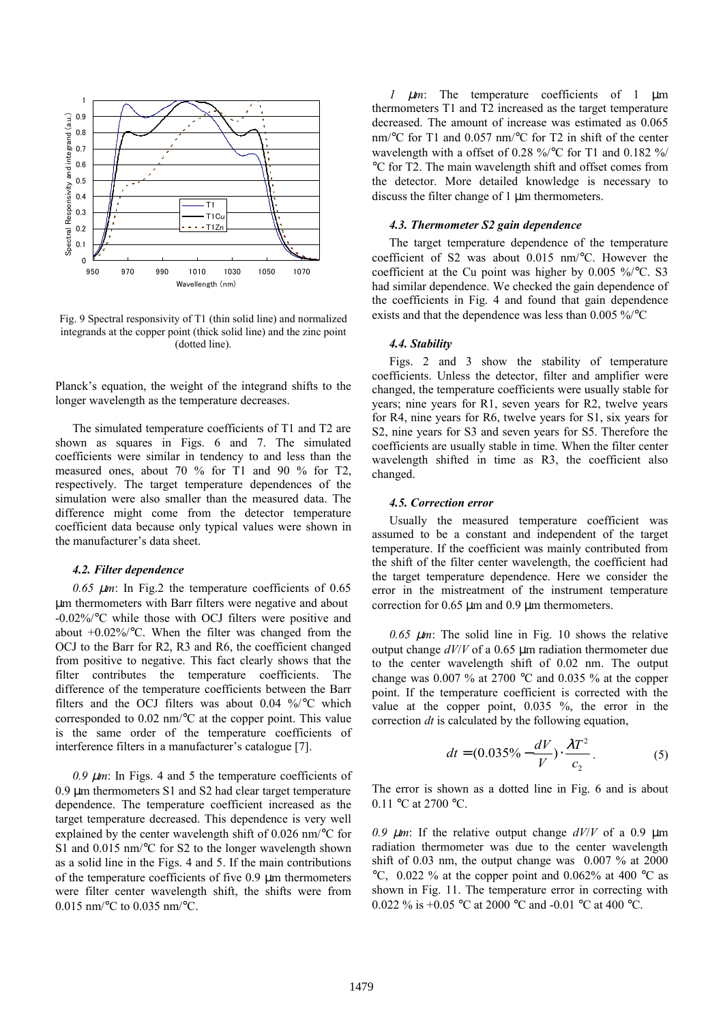

Fig. 9 Spectral responsivity of T1 (thin solid line) and normalized integrands at the copper point (thick solid line) and the zinc point (dotted line).

Planck's equation, the weight of the integrand shifts to the longer wavelength as the temperature decreases.

The simulated temperature coefficients of T1 and T2 are shown as squares in Figs. 6 and 7. The simulated coefficients were similar in tendency to and less than the measured ones, about 70 % for T1 and 90 % for T2, respectively. The target temperature dependences of the simulation were also smaller than the measured data. The difference might come from the detector temperature coefficient data because only typical values were shown in the manufacturer's data sheet.

#### *4.2. Filter dependence*

 $0.65 \mu m$ : In Fig.2 the temperature coefficients of  $0.65$ µm thermometers with Barr filters were negative and about -0.02%/°C while those with OCJ filters were positive and about  $+0.02\%$  °C. When the filter was changed from the OCJ to the Barr for R2, R3 and R6, the coefficient changed from positive to negative. This fact clearly shows that the filter contributes the temperature coefficients. The difference of the temperature coefficients between the Barr filters and the OCJ filters was about 0.04 %/°C which corresponded to 0.02 nm/°C at the copper point. This value is the same order of the temperature coefficients of interference filters in a manufacturer's catalogue [7].

 $0.9 \ \mu m$ : In Figs. 4 and 5 the temperature coefficients of 0.9 µm thermometers S1 and S2 had clear target temperature dependence. The temperature coefficient increased as the target temperature decreased. This dependence is very well explained by the center wavelength shift of 0.026 nm/°C for S1 and 0.015 nm/°C for S2 to the longer wavelength shown as a solid line in the Figs. 4 and 5. If the main contributions of the temperature coefficients of five 0.9 µm thermometers were filter center wavelength shift, the shifts were from 0.015 nm/°C to 0.035 nm/°C.

*1* µ*m*: The temperature coefficients of 1 µm thermometers T1 and T2 increased as the target temperature decreased. The amount of increase was estimated as 0.065 nm/°C for T1 and 0.057 nm/°C for T2 in shift of the center wavelength with a offset of 0.28 %/°C for T1 and 0.182 %/ °C for T2. The main wavelength shift and offset comes from the detector. More detailed knowledge is necessary to discuss the filter change of 1 µm thermometers.

## *4.3. Thermometer S2 gain dependence*

The target temperature dependence of the temperature coefficient of S2 was about 0.015 nm/°C. However the coefficient at the Cu point was higher by 0.005 %/°C. S3 had similar dependence. We checked the gain dependence of the coefficients in Fig. 4 and found that gain dependence exists and that the dependence was less than 0.005 %/°C

## *4.4. Stability*

Figs. 2 and 3 show the stability of temperature coefficients. Unless the detector, filter and amplifier were changed, the temperature coefficients were usually stable for years; nine years for R1, seven years for R2, twelve years for R4, nine years for R6, twelve years for S1, six years for S2, nine years for S3 and seven years for S5. Therefore the coefficients are usually stable in time. When the filter center wavelength shifted in time as R3, the coefficient also changed.

## *4.5. Correction error*

Usually the measured temperature coefficient was assumed to be a constant and independent of the target temperature. If the coefficient was mainly contributed from the shift of the filter center wavelength, the coefficient had the target temperature dependence. Here we consider the error in the mistreatment of the instrument temperature correction for 0.65 µm and 0.9 µm thermometers.

 $0.65 \mu m$ : The solid line in Fig. 10 shows the relative output change *dV*/*V* of a 0.65 µm radiation thermometer due to the center wavelength shift of 0.02 nm. The output change was 0.007 % at 2700  $\degree$ C and 0.035 % at the copper point. If the temperature coefficient is corrected with the value at the copper point, 0.035 %, the error in the correction *dt* is calculated by the following equation,

$$
dt = (0.035\% - \frac{dV}{V}) \cdot \frac{\lambda T^2}{c_2}.
$$
 (5)

The error is shown as a dotted line in Fig. 6 and is about 0.11 °C at 2700 °C.

0.9  $\mu$ m: If the relative output change  $dV/V$  of a 0.9  $\mu$ m radiation thermometer was due to the center wavelength shift of 0.03 nm, the output change was 0.007 % at 2000  $\degree$ C, 0.022 % at the copper point and 0.062% at 400  $\degree$ C as shown in Fig. 11. The temperature error in correcting with 0.022 % is +0.05 °C at 2000 °C and -0.01 °C at 400 °C.